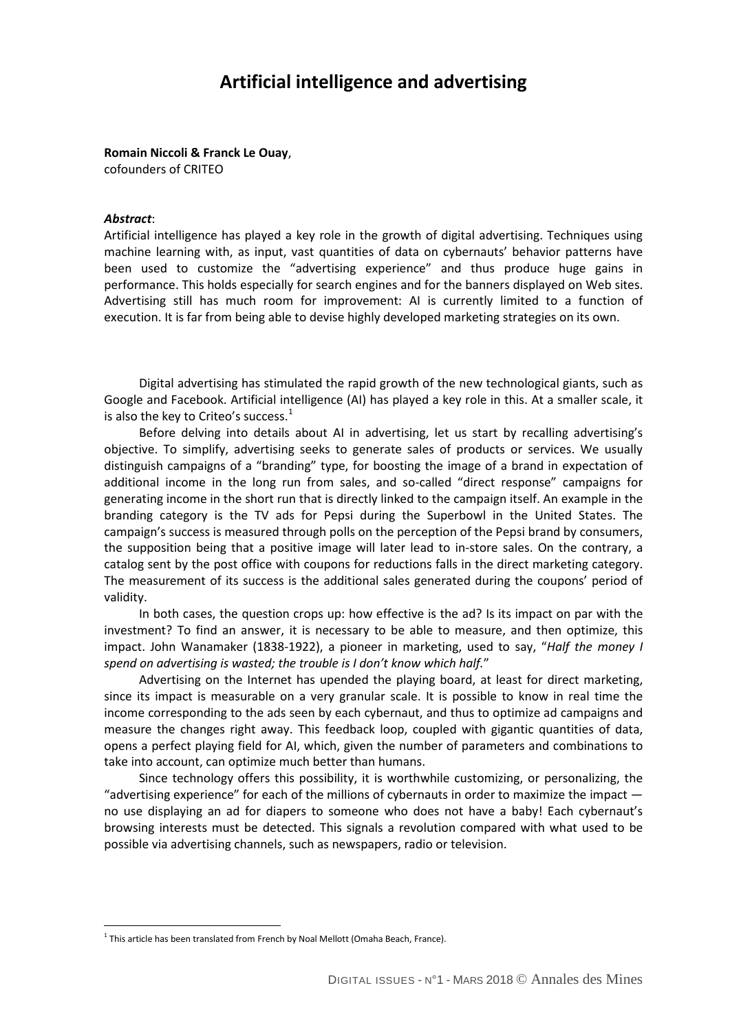# **Artificial intelligence and advertising**

### **Romain Niccoli & Franck Le Ouay**,

cofounders of CRITEO

#### *Abstract*:

 $\overline{a}$ 

Artificial intelligence has played a key role in the growth of digital advertising. Techniques using machine learning with, as input, vast quantities of data on cybernauts' behavior patterns have been used to customize the "advertising experience" and thus produce huge gains in performance. This holds especially for search engines and for the banners displayed on Web sites. Advertising still has much room for improvement: AI is currently limited to a function of execution. It is far from being able to devise highly developed marketing strategies on its own.

Digital advertising has stimulated the rapid growth of the new technological giants, such as Google and Facebook. Artificial intelligence (AI) has played a key role in this. At a smaller scale, it is also the key to Criteo's success. $<sup>1</sup>$  $<sup>1</sup>$  $<sup>1</sup>$ </sup>

Before delving into details about AI in advertising, let us start by recalling advertising's objective. To simplify, advertising seeks to generate sales of products or services. We usually distinguish campaigns of a "branding" type, for boosting the image of a brand in expectation of additional income in the long run from sales, and so-called "direct response" campaigns for generating income in the short run that is directly linked to the campaign itself. An example in the branding category is the TV ads for Pepsi during the Superbowl in the United States. The campaign's success is measured through polls on the perception of the Pepsi brand by consumers, the supposition being that a positive image will later lead to in-store sales. On the contrary, a catalog sent by the post office with coupons for reductions falls in the direct marketing category. The measurement of its success is the additional sales generated during the coupons' period of validity.

In both cases, the question crops up: how effective is the ad? Is its impact on par with the investment? To find an answer, it is necessary to be able to measure, and then optimize, this impact. John Wanamaker (1838-1922), a pioneer in marketing, used to say, "*Half the money I spend on advertising is wasted; the trouble is I don't know which half.*"

Advertising on the Internet has upended the playing board, at least for direct marketing, since its impact is measurable on a very granular scale. It is possible to know in real time the income corresponding to the ads seen by each cybernaut, and thus to optimize ad campaigns and measure the changes right away. This feedback loop, coupled with gigantic quantities of data, opens a perfect playing field for AI, which, given the number of parameters and combinations to take into account, can optimize much better than humans.

Since technology offers this possibility, it is worthwhile customizing, or personalizing, the "advertising experience" for each of the millions of cybernauts in order to maximize the impact  $$ no use displaying an ad for diapers to someone who does not have a baby! Each cybernaut's browsing interests must be detected. This signals a revolution compared with what used to be possible via advertising channels, such as newspapers, radio or television.

<span id="page-0-0"></span> $1$  This article has been translated from French by Noal Mellott (Omaha Beach, France).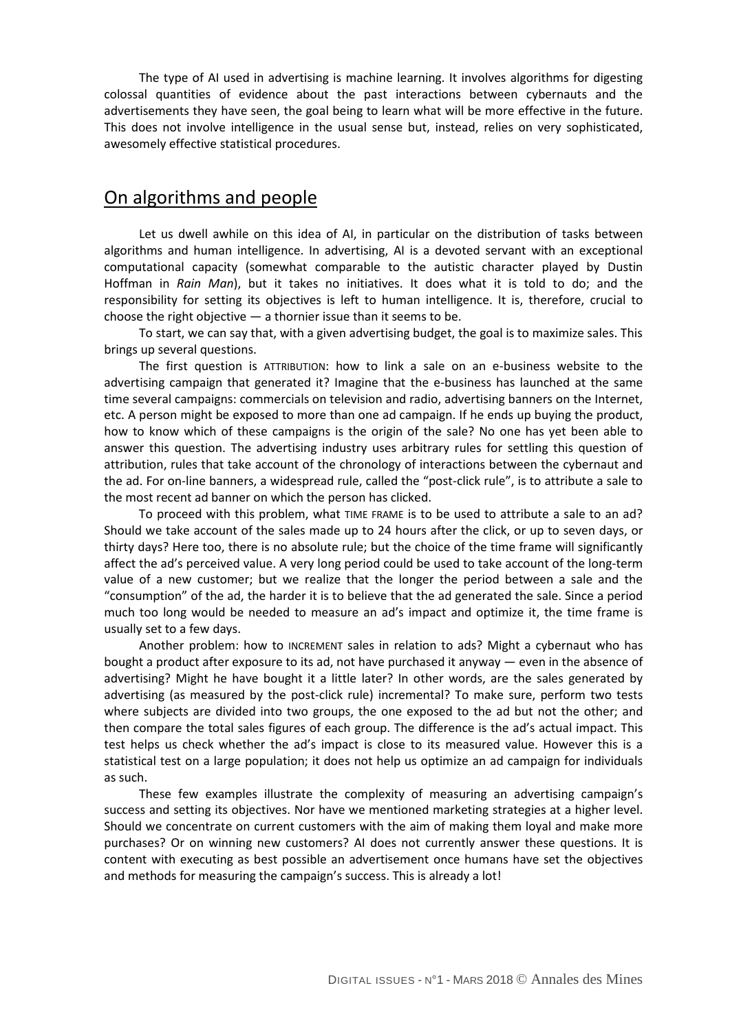The type of AI used in advertising is machine learning. It involves algorithms for digesting colossal quantities of evidence about the past interactions between cybernauts and the advertisements they have seen, the goal being to learn what will be more effective in the future. This does not involve intelligence in the usual sense but, instead, relies on very sophisticated, awesomely effective statistical procedures.

### On algorithms and people

Let us dwell awhile on this idea of AI, in particular on the distribution of tasks between algorithms and human intelligence. In advertising, AI is a devoted servant with an exceptional computational capacity (somewhat comparable to the autistic character played by Dustin Hoffman in *Rain Man*), but it takes no initiatives. It does what it is told to do; and the responsibility for setting its objectives is left to human intelligence. It is, therefore, crucial to choose the right objective — a thornier issue than it seems to be.

To start, we can say that, with a given advertising budget, the goal is to maximize sales. This brings up several questions.

The first question is ATTRIBUTION: how to link a sale on an e-business website to the advertising campaign that generated it? Imagine that the e-business has launched at the same time several campaigns: commercials on television and radio, advertising banners on the Internet, etc. A person might be exposed to more than one ad campaign. If he ends up buying the product, how to know which of these campaigns is the origin of the sale? No one has yet been able to answer this question. The advertising industry uses arbitrary rules for settling this question of attribution, rules that take account of the chronology of interactions between the cybernaut and the ad. For on-line banners, a widespread rule, called the "post-click rule", is to attribute a sale to the most recent ad banner on which the person has clicked.

To proceed with this problem, what TIME FRAME is to be used to attribute a sale to an ad? Should we take account of the sales made up to 24 hours after the click, or up to seven days, or thirty days? Here too, there is no absolute rule; but the choice of the time frame will significantly affect the ad's perceived value. A very long period could be used to take account of the long-term value of a new customer; but we realize that the longer the period between a sale and the "consumption" of the ad, the harder it is to believe that the ad generated the sale. Since a period much too long would be needed to measure an ad's impact and optimize it, the time frame is usually set to a few days.

Another problem: how to INCREMENT sales in relation to ads? Might a cybernaut who has bought a product after exposure to its ad, not have purchased it anyway — even in the absence of advertising? Might he have bought it a little later? In other words, are the sales generated by advertising (as measured by the post-click rule) incremental? To make sure, perform two tests where subjects are divided into two groups, the one exposed to the ad but not the other; and then compare the total sales figures of each group. The difference is the ad's actual impact. This test helps us check whether the ad's impact is close to its measured value. However this is a statistical test on a large population; it does not help us optimize an ad campaign for individuals as such.

These few examples illustrate the complexity of measuring an advertising campaign's success and setting its objectives. Nor have we mentioned marketing strategies at a higher level. Should we concentrate on current customers with the aim of making them loyal and make more purchases? Or on winning new customers? AI does not currently answer these questions. It is content with executing as best possible an advertisement once humans have set the objectives and methods for measuring the campaign's success. This is already a lot!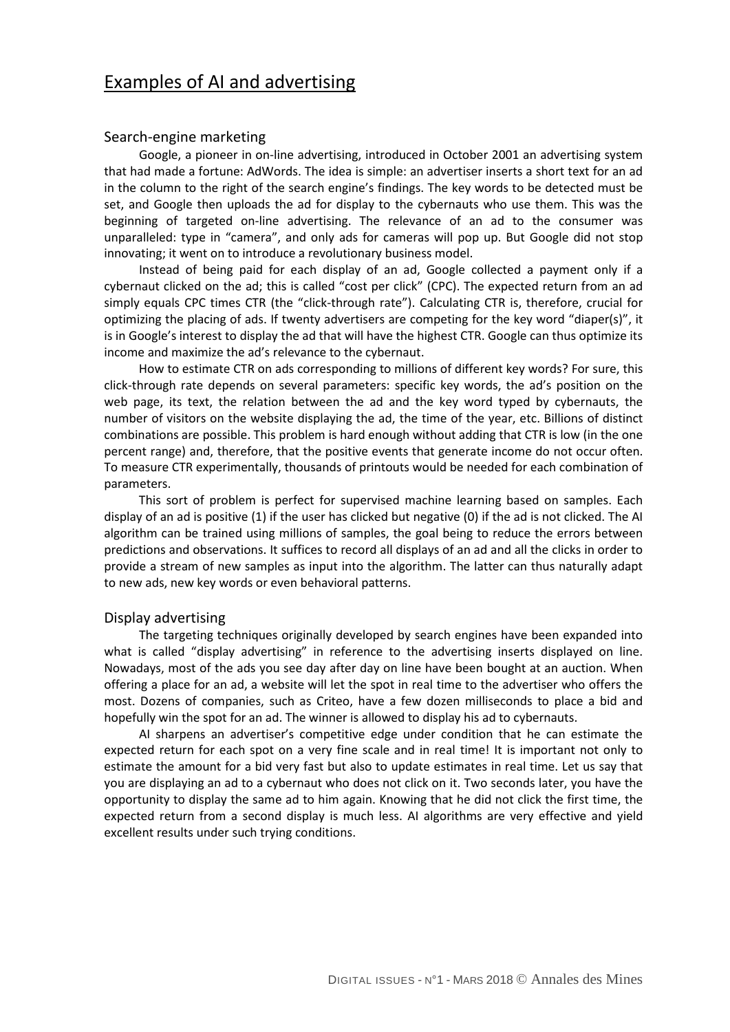# Examples of AI and advertising

### Search-engine marketing

Google, a pioneer in on-line advertising, introduced in October 2001 an advertising system that had made a fortune: AdWords. The idea is simple: an advertiser inserts a short text for an ad in the column to the right of the search engine's findings. The key words to be detected must be set, and Google then uploads the ad for display to the cybernauts who use them. This was the beginning of targeted on-line advertising. The relevance of an ad to the consumer was unparalleled: type in "camera", and only ads for cameras will pop up. But Google did not stop innovating; it went on to introduce a revolutionary business model.

Instead of being paid for each display of an ad, Google collected a payment only if a cybernaut clicked on the ad; this is called "cost per click" (CPC). The expected return from an ad simply equals CPC times CTR (the "click-through rate"). Calculating CTR is, therefore, crucial for optimizing the placing of ads. If twenty advertisers are competing for the key word "diaper(s)", it is in Google's interest to display the ad that will have the highest CTR. Google can thus optimize its income and maximize the ad's relevance to the cybernaut.

How to estimate CTR on ads corresponding to millions of different key words? For sure, this click-through rate depends on several parameters: specific key words, the ad's position on the web page, its text, the relation between the ad and the key word typed by cybernauts, the number of visitors on the website displaying the ad, the time of the year, etc. Billions of distinct combinations are possible. This problem is hard enough without adding that CTR is low (in the one percent range) and, therefore, that the positive events that generate income do not occur often. To measure CTR experimentally, thousands of printouts would be needed for each combination of parameters.

This sort of problem is perfect for supervised machine learning based on samples. Each display of an ad is positive (1) if the user has clicked but negative (0) if the ad is not clicked. The AI algorithm can be trained using millions of samples, the goal being to reduce the errors between predictions and observations. It suffices to record all displays of an ad and all the clicks in order to provide a stream of new samples as input into the algorithm. The latter can thus naturally adapt to new ads, new key words or even behavioral patterns.

### Display advertising

The targeting techniques originally developed by search engines have been expanded into what is called "display advertising" in reference to the advertising inserts displayed on line. Nowadays, most of the ads you see day after day on line have been bought at an auction. When offering a place for an ad, a website will let the spot in real time to the advertiser who offers the most. Dozens of companies, such as Criteo, have a few dozen milliseconds to place a bid and hopefully win the spot for an ad. The winner is allowed to display his ad to cybernauts.

AI sharpens an advertiser's competitive edge under condition that he can estimate the expected return for each spot on a very fine scale and in real time! It is important not only to estimate the amount for a bid very fast but also to update estimates in real time. Let us say that you are displaying an ad to a cybernaut who does not click on it. Two seconds later, you have the opportunity to display the same ad to him again. Knowing that he did not click the first time, the expected return from a second display is much less. AI algorithms are very effective and yield excellent results under such trying conditions.